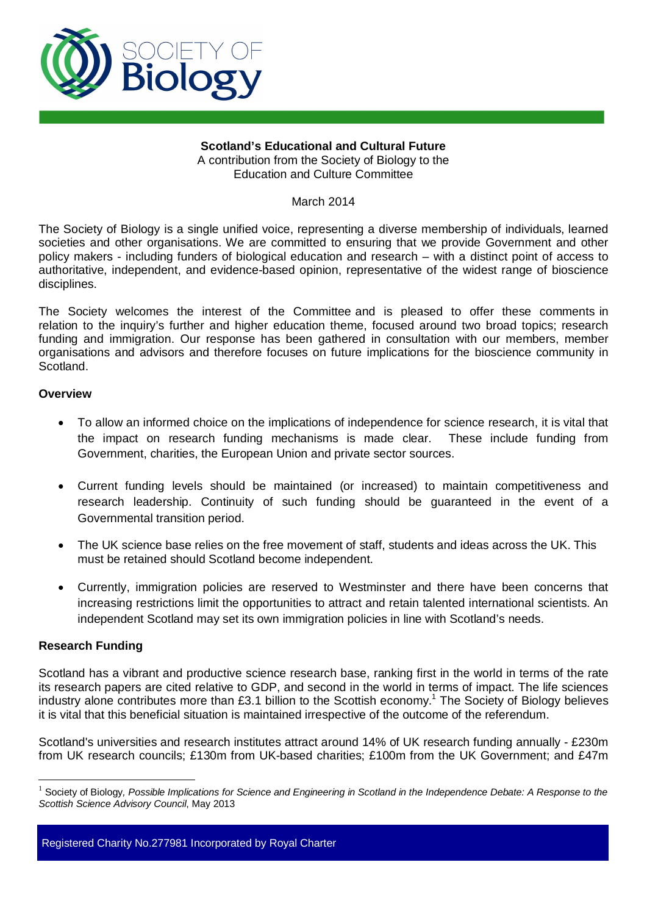

### **Scotland's Educational and Cultural Future**  A contribution from the Society of Biology to the Education and Culture Committee

March 2014

The Society of Biology is a single unified voice, representing a diverse membership of individuals, learned societies and other organisations. We are committed to ensuring that we provide Government and other policy makers - including funders of biological education and research – with a distinct point of access to authoritative, independent, and evidence-based opinion, representative of the widest range of bioscience disciplines.

The Society welcomes the interest of the Committee and is pleased to offer these comments in relation to the inquiry's further and higher education theme, focused around two broad topics; research funding and immigration. Our response has been gathered in consultation with our members, member organisations and advisors and therefore focuses on future implications for the bioscience community in Scotland.

# **Overview**

- To allow an informed choice on the implications of independence for science research, it is vital that the impact on research funding mechanisms is made clear. These include funding from Government, charities, the European Union and private sector sources.
- Current funding levels should be maintained (or increased) to maintain competitiveness and research leadership. Continuity of such funding should be guaranteed in the event of a Governmental transition period.
- The UK science base relies on the free movement of staff, students and ideas across the UK. This must be retained should Scotland become independent.
- Currently, immigration policies are reserved to Westminster and there have been concerns that increasing restrictions limit the opportunities to attract and retain talented international scientists. An independent Scotland may set its own immigration policies in line with Scotland's needs.

# **Research Funding**

 $\overline{a}$ 

Scotland has a vibrant and productive science research base, ranking first in the world in terms of the rate its research papers are cited relative to GDP, and second in the world in terms of impact. The life sciences industry alone contributes more than £3.[1](#page-0-0) billion to the Scottish economy.<sup>1</sup> The Society of Biology believes it is vital that this beneficial situation is maintained irrespective of the outcome of the referendum.

Scotland's universities and research institutes attract around 14% of UK research funding annually - £230m from UK research councils; £130m from UK-based charities; £100m from the UK Government; and £47m

<span id="page-0-0"></span><sup>&</sup>lt;sup>1</sup> Society of Biology, Possible Implications for Science and Engineering in Scotland in the Independence Debate: A Response to the *Scottish Science Advisory Council*, May 2013

Registered Charity No.277981 Incorporated by Royal Charter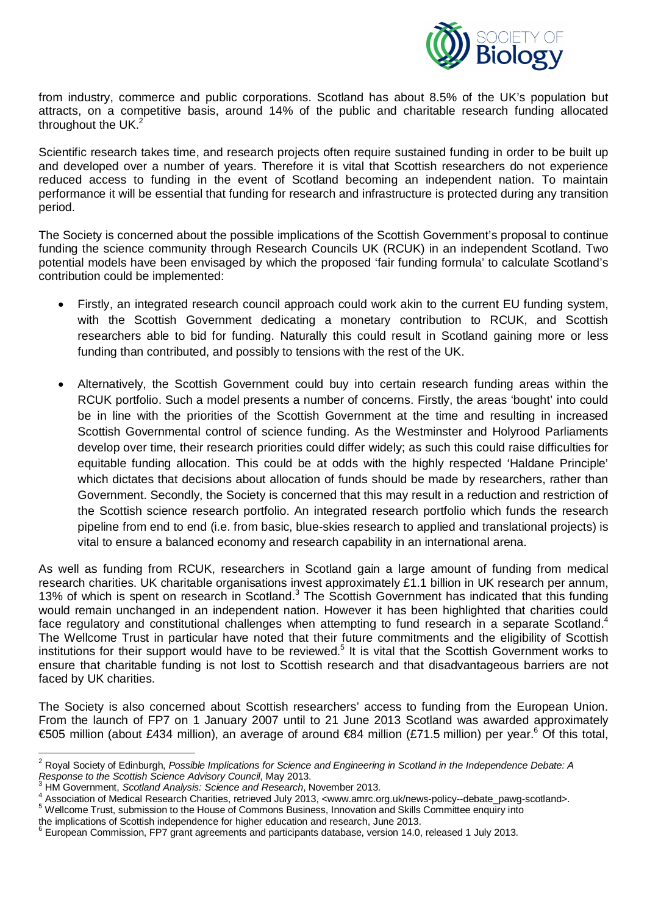

from industry, commerce and public corporations. Scotland has about 8.5% of the UK's population but attracts, on a competitive basis, around 14% of the public and charitable research funding allocated throughout the UK. $2^{2}$  $2^{2}$ 

Scientific research takes time, and research projects often require sustained funding in order to be built up and developed over a number of years. Therefore it is vital that Scottish researchers do not experience reduced access to funding in the event of Scotland becoming an independent nation. To maintain performance it will be essential that funding for research and infrastructure is protected during any transition period.

The Society is concerned about the possible implications of the Scottish Government's proposal to continue funding the science community through Research Councils UK (RCUK) in an independent Scotland. Two potential models have been envisaged by which the proposed 'fair funding formula' to calculate Scotland's contribution could be implemented:

- Firstly, an integrated research council approach could work akin to the current EU funding system, with the Scottish Government dedicating a monetary contribution to RCUK, and Scottish researchers able to bid for funding. Naturally this could result in Scotland gaining more or less funding than contributed, and possibly to tensions with the rest of the UK.
- x Alternatively, the Scottish Government could buy into certain research funding areas within the RCUK portfolio. Such a model presents a number of concerns. Firstly, the areas 'bought' into could be in line with the priorities of the Scottish Government at the time and resulting in increased Scottish Governmental control of science funding. As the Westminster and Holyrood Parliaments develop over time, their research priorities could differ widely; as such this could raise difficulties for equitable funding allocation. This could be at odds with the highly respected 'Haldane Principle' which dictates that decisions about allocation of funds should be made by researchers, rather than Government. Secondly, the Society is concerned that this may result in a reduction and restriction of the Scottish science research portfolio. An integrated research portfolio which funds the research pipeline from end to end (i.e. from basic, blue-skies research to applied and translational projects) is vital to ensure a balanced economy and research capability in an international arena.

As well as funding from RCUK, researchers in Scotland gain a large amount of funding from medical research charities. UK charitable organisations invest approximately £1.1 billion in UK research per annum, 13%of which is spent on research in Scotland.<sup>3</sup> The Scottish Government has indicated that this funding would remain unchanged in an independent nation. However it has been highlighted that charities could face regulatory and constitutional challenges when attempting to fund research in a separate Scotland.<sup>[4](#page-1-2)</sup> The Wellcome Trust in particular have noted that their future commitments and the eligibility of Scottish institutions for their support would have to be reviewed.<sup>[5](#page-1-3)</sup> It is vital that the Scottish Government works to ensure that charitable funding is not lost to Scottish research and that disadvantageous barriers are not faced by UK charities.

The Society is also concerned about Scottish researchers' access to funding from the European Union. From the launch of FP7 on 1 January 2007 until to 21 June 2013 Scotland was awarded approximately €505 million (about £434 million), an average of around €84 million (£71.5 million) per year.<sup>[6](#page-1-4)</sup> Of this total,

<span id="page-1-0"></span> 2 Royal Society of Edinburgh, *Possible Implications for Science and Engineering in Scotland in the Independence Debate: A Response to the Scottish Science Advisory Council*, May 2013. 3 HM Government, *Scotland Analysis: Science and Research*, November 2013.

<span id="page-1-1"></span><sup>4</sup>

<span id="page-1-2"></span>Association of Medical Research Charities, retrieved July 2013, <www.amrc.org.uk/news-policy--debate\_pawg-scotland>.

<span id="page-1-3"></span><sup>&</sup>lt;sup>5</sup> Wellcome Trust, submission to the House of Commons Business, Innovation and Skills Committee enquiry into

the implications of Scottish independence for higher education and research, June 2013.

<span id="page-1-4"></span><sup>&</sup>lt;sup>6</sup> European Commission, FP7 grant agreements and participants database, version 14.0, released 1 July 2013.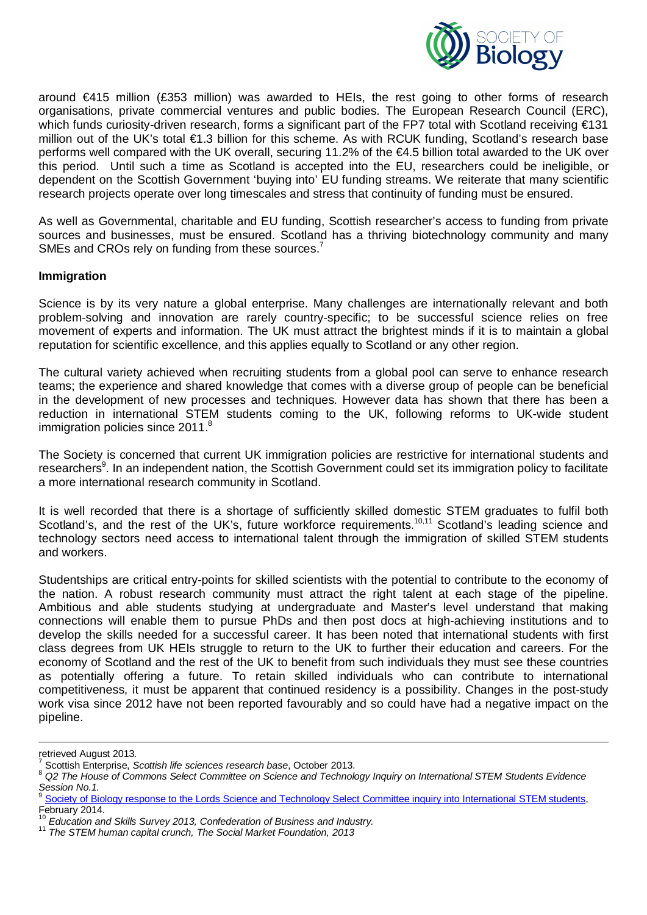

around €415 million (£353 million) was awarded to HEIs, the rest going to other forms of research organisations, private commercial ventures and public bodies. The European Research Council (ERC), which funds curiosity-driven research, forms a significant part of the FP7 total with Scotland receiving €131 million out of the UK's total €1.3 billion for this scheme. As with RCUK funding, Scotland's research base performs well compared with the UK overall, securing 11.2% of the €4.5 billion total awarded to the UK over this period. Until such a time as Scotland is accepted into the EU, researchers could be ineligible, or dependent on the Scottish Government 'buying into' EU funding streams. We reiterate that many scientific research projects operate over long timescales and stress that continuity of funding must be ensured.

As well as Governmental, charitable and EU funding, Scottish researcher's access to funding from private sources and businesses, must be ensured. Scotland has a thriving biotechnology community and many SMEs and CROs rely on funding from these sources.<sup>[7](#page-2-0)</sup>

#### **Immigration**

Science is by its very nature a global enterprise. Many challenges are internationally relevant and both problem-solving and innovation are rarely country-specific; to be successful science relies on free movement of experts and information. The UK must attract the brightest minds if it is to maintain a global reputation for scientific excellence, and this applies equally to Scotland or any other region.

The cultural variety achieved when recruiting students from a global pool can serve to enhance research teams; the experience and shared knowledge that comes with a diverse group of people can be beneficial in the development of new processes and techniques. However data has shown that there has been a reduction in international STEM students coming to the UK, following reforms to UK-wide student immigration policies since 2011[.](#page-2-1)<sup>8</sup>

The Society is concerned that current UK immigration policies are restrictive for international students and researchers<sup>[9](#page-2-2)</sup>. In an independent nation, the Scottish Government could set its immigration policy to facilitate a more international research community in Scotland.

It is well recorded that there is a shortage of sufficiently skilled domestic STEM graduates to fulfil both Scotland's, and the rest of the UK's, future workforce requirements.[10,](#page-2-3)[11](#page-2-4) Scotland's leading science and technology sectors need access to international talent through the immigration of skilled STEM students and workers.

Studentships are critical entry-points for skilled scientists with the potential to contribute to the economy of the nation. A robust research community must attract the right talent at each stage of the pipeline. Ambitious and able students studying at undergraduate and Master's level understand that making connections will enable them to pursue PhDs and then post docs at high-achieving institutions and to develop the skills needed for a successful career. It has been noted that international students with first class degrees from UK HEIs struggle to return to the UK to further their education and careers. For the economy of Scotland and the rest of the UK to benefit from such individuals they must see these countries as potentially offering a future. To retain skilled individuals who can contribute to international competitiveness, it must be apparent that continued residency is a possibility. Changes in the post-study work visa since 2012 have not been reported favourably and so could have had a negative impact on the pipeline.

 $\overline{a}$ 

retrieved August 2013.<br><sup>7</sup> Seettieb Enternries. S

<span id="page-2-0"></span>Scottish Enterprise, *Scottish life sciences research base*, October 2013.

<span id="page-2-1"></span><sup>8</sup> *Q2 The House of Commons Select Committee on Science and Technology Inquiry on International STEM Students Evidence Session No.1.*

<span id="page-2-2"></span>[Society of Biology response to the Lords Science and Technology Select Committee inquiry into International STEM students,](https://www.societyofbiology.org/images/International_STEM_students_-Society_of_Biology_response.pdf) February 2014.

<span id="page-2-3"></span><sup>&</sup>lt;sup>10</sup> Education and Skills Survey 2013, Confederation of Business and Industry.

<span id="page-2-4"></span><sup>11</sup> *The STEM human capital crunch, The Social Market Foundation, 2013*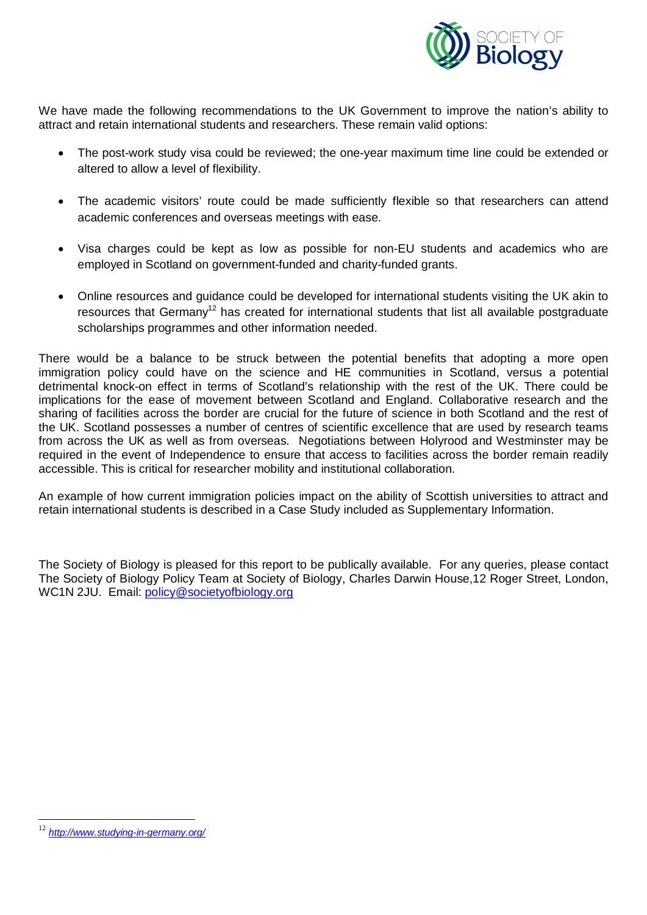

We have made the following recommendations to the UK Government to improve the nation's ability to attract and retain international students and researchers. These remain valid options:

- The post-work study visa could be reviewed; the one-year maximum time line could be extended or altered to allow a level of flexibility.
- The academic visitors' route could be made sufficiently flexible so that researchers can attend academic conferences and overseas meetings with ease.
- Visa charges could be kept as low as possible for non-EU students and academics who are employed in Scotland on government-funded and charity-funded grants.
- Online resources and guidance could be developed for international students visiting the UK akin to resources that Germany<sup>[12](#page-3-0)</sup> has created for international students that list all available postgraduate scholarships programmes and other information needed.

There would be a balance to be struck between the potential benefits that adopting a more open immigration policy could have on the science and HE communities in Scotland, versus a potential detrimental knock-on effect in terms of Scotland's relationship with the rest of the UK. There could be implications for the ease of movement between Scotland and England. Collaborative research and the sharing of facilities across the border are crucial for the future of science in both Scotland and the rest of the UK. Scotland possesses a number of centres of scientific excellence that are used by research teams from across the UK as well as from overseas. Negotiations between Holyrood and Westminster may be required in the event of Independence to ensure that access to facilities across the border remain readily accessible. This is critical for researcher mobility and institutional collaboration.

An example of how current immigration policies impact on the ability of Scottish universities to attract and retain international students is described in a Case Study included as Supplementary Information.

The Society of Biology is pleased for this report to be publically available. For any queries, please contact The Society of Biology Policy Team at Society of Biology, Charles Darwin House,12 Roger Street, London, WC1N 2JU. Email: policy@societyofbiology.org

 $\overline{a}$ 

<span id="page-3-0"></span><sup>12</sup> *<http://www.studying-in-germany.org/>*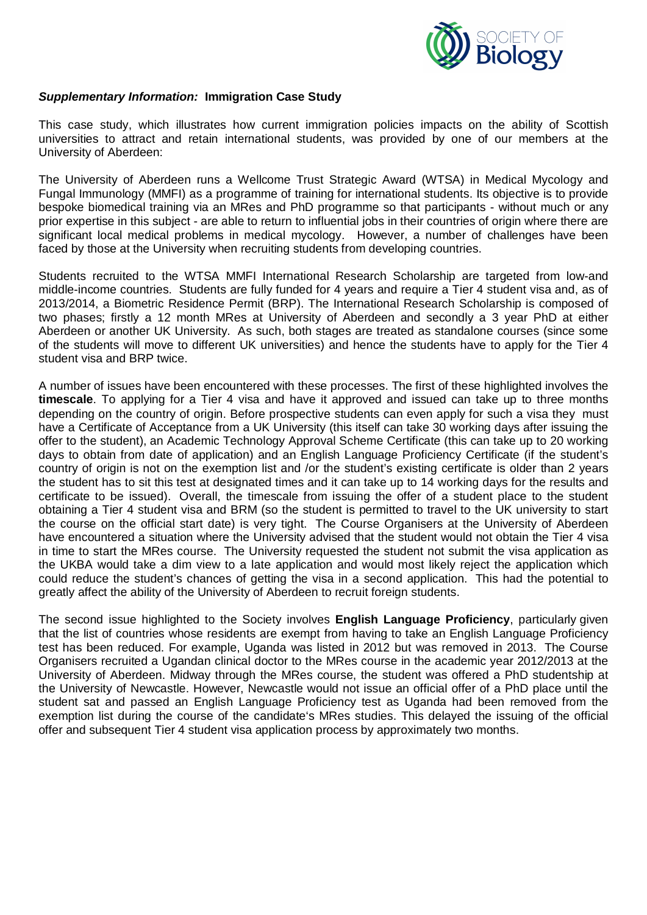

## *Supplementary Information:* **Immigration Case Study**

This case study, which illustrates how current immigration policies impacts on the ability of Scottish universities to attract and retain international students, was provided by one of our members at the University of Aberdeen:

The University of Aberdeen runs a Wellcome Trust Strategic Award (WTSA) in Medical Mycology and Fungal Immunology (MMFI) as a programme of training for international students. Its objective is to provide bespoke biomedical training via an MRes and PhD programme so that participants - without much or any prior expertise in this subject - are able to return to influential jobs in their countries of origin where there are significant local medical problems in medical mycology. However, a number of challenges have been faced by those at the University when recruiting students from developing countries.

Students recruited to the WTSA MMFI International Research Scholarship are targeted from low-and middle-income countries. Students are fully funded for 4 years and require a Tier 4 student visa and, as of 2013/2014, a Biometric Residence Permit (BRP). The International Research Scholarship is composed of two phases; firstly a 12 month MRes at University of Aberdeen and secondly a 3 year PhD at either Aberdeen or another UK University. As such, both stages are treated as standalone courses (since some of the students will move to different UK universities) and hence the students have to apply for the Tier 4 student visa and BRP twice.

A number of issues have been encountered with these processes. The first of these highlighted involves the **timescale**. To applying for a Tier 4 visa and have it approved and issued can take up to three months depending on the country of origin. Before prospective students can even apply for such a visa they must have a Certificate of Acceptance from a UK University (this itself can take 30 working days after issuing the offer to the student), an Academic Technology Approval Scheme Certificate (this can take up to 20 working days to obtain from date of application) and an English Language Proficiency Certificate (if the student's country of origin is not on the exemption list and /or the student's existing certificate is older than 2 years the student has to sit this test at designated times and it can take up to 14 working days for the results and certificate to be issued). Overall, the timescale from issuing the offer of a student place to the student obtaining a Tier 4 student visa and BRM (so the student is permitted to travel to the UK university to start the course on the official start date) is very tight. The Course Organisers at the University of Aberdeen have encountered a situation where the University advised that the student would not obtain the Tier 4 visa in time to start the MRes course. The University requested the student not submit the visa application as the UKBA would take a dim view to a late application and would most likely reject the application which could reduce the student's chances of getting the visa in a second application. This had the potential to greatly affect the ability of the University of Aberdeen to recruit foreign students.

The second issue highlighted to the Society involves **English Language Proficiency**, particularly given that the list of countries whose residents are exempt from having to take an English Language Proficiency test has been reduced. For example, Uganda was listed in 2012 but was removed in 2013. The Course Organisers recruited a Ugandan clinical doctor to the MRes course in the academic year 2012/2013 at the University of Aberdeen. Midway through the MRes course, the student was offered a PhD studentship at the University of Newcastle. However, Newcastle would not issue an official offer of a PhD place until the student sat and passed an English Language Proficiency test as Uganda had been removed from the exemption list during the course of the candidate's MRes studies. This delayed the issuing of the official offer and subsequent Tier 4 student visa application process by approximately two months.